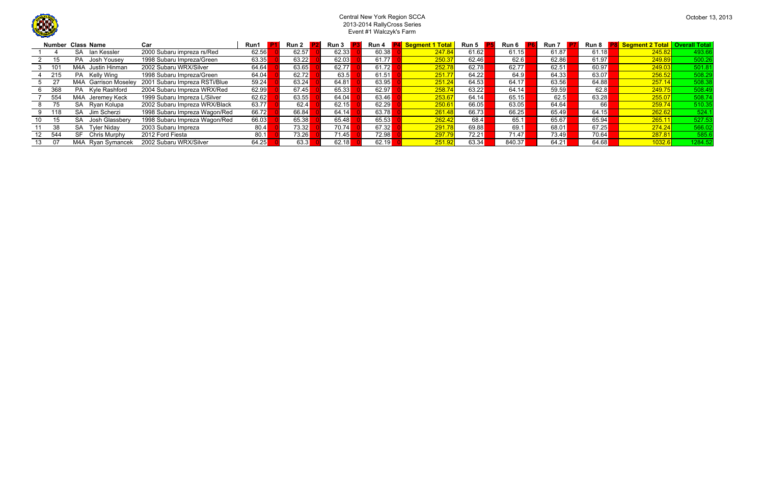

## Central New York Region SCCA 2013-2014 RallyCross SeriesEvent #1 Walczyk's Farm

|           | <b>Number Class Name</b> | Car                           | Run1  | <b>Run 2</b> | <b>Run 3</b> | Run 4 | <mark>l Segment 1 Total</mark> | Run 5 | Run 6  | <b>Run 7</b> |       | Run 8 <b>P8</b> Segment 2 Total   Overall Total |         |
|-----------|--------------------------|-------------------------------|-------|--------------|--------------|-------|--------------------------------|-------|--------|--------------|-------|-------------------------------------------------|---------|
|           | lan Kessler<br>SA.       | 2000 Subaru impreza rs/Red    | 62.56 | 62.57        | 62.33        | 60.38 | 247.84                         | 61.62 | 61.15  | 61.87        | 61.18 | 245.82                                          | 493.66  |
| 15        | PA Josh Yousey           | 1998 Subaru Impreza/Green     | 63.35 | 63.22        | 62.03        | 61.77 | 250.37                         | 62.46 | 62.6   | 62.86        | 61.97 | 249.89                                          | 500.26  |
|           | Justin Hinman<br>M4A     | 2002 Subaru WRX/Silver        | 64.64 | 63.65        | 62.77        | 61.72 | 252.78                         | 62.78 | 62.77  | 62.51        | 60.97 | 249.03                                          | 501.81  |
| 215       | PA Kelly Wing            | 1998 Subaru Impreza/Green     | 64.04 | 62.72        | 63.5         | 61.51 | 251.77                         | 64.22 | 64.9   | 64.33        | 63.07 | 256.52                                          | 508.29  |
|           | M4A Garrison Moseley     | 2001 Subaru Impreza RSTi/Blue | 59.24 | 63.24        | 64.81        | 63.95 | 251.24                         | 64.53 | 64.17  | 63.56        | 64.88 | 257.14                                          | 508.38  |
| 368       | PA Kyle Rashford         | 2004 Subaru Impreza WRX/Red   | 62.99 | 67.45        | 65.33        | 62.97 | 258.74                         | 63.22 | 64.14  | 59.59        | 62.8  | 249.75                                          | 508.49  |
| 554       | M4A Jeremey Keck         | 1999 Subaru Impreza L/Silver  | 62.62 | 63.55        | 64.04        | 63.46 | 253.67                         | 64.14 | 65.15  | 62.5         | 63.28 | 255.07                                          | 508.74  |
| 75.       | Ryan Kolupa<br><b>SA</b> | 2002 Subaru Impreza WRX/Black | 63.77 | 62.4         | 62.15        | 62.29 | 250.61                         | 66.05 | 63.05  | 64.64        | -661  | 259.74                                          | 510.35  |
| 118       | Jim Scherzi<br>SA.       | 1998 Subaru Impreza Wagon/Red | 66.72 | 66.84        | 64.14        | 63.78 | 261.48                         | 66.73 | 66.25  | 65.49        | 64.15 | 262.62                                          | 524.1   |
| 15        | Josh Glassbery<br>SA     | 1998 Subaru Impreza Wagon/Red | 66.03 | 65.38        | 65.48        | 65.53 | 262.42                         | 68.4  | 65.1   | 65.67        | 65.94 | 265.1                                           | 527.53  |
| 38        | <b>Tyler Nidav</b><br>SA | 2003 Subaru Impreza           | 80.4  | 73.32        | 70.74        | 67.32 | 291.78                         | 69.88 | 69.1   | 68.01        | 67.25 | 274.24                                          | 566.02  |
| 544<br>12 | SF<br>Chris Murphy       | 2012 Ford Fiesta              | 80.1  | 73.26        | 71.45        | 72.98 | 297.79                         | 72.21 | 71.47  | 73.49        | 70.64 | 287.81                                          | 585.6   |
| -07       | M4A Ryan Symancek        | 2002 Subaru WRX/Silver        | 64.25 | 63.3         | 62.18        | 62.19 | 251.92                         | 63.34 | 840.37 | 64.21        | 64.68 | 1032.6                                          | 1284.52 |